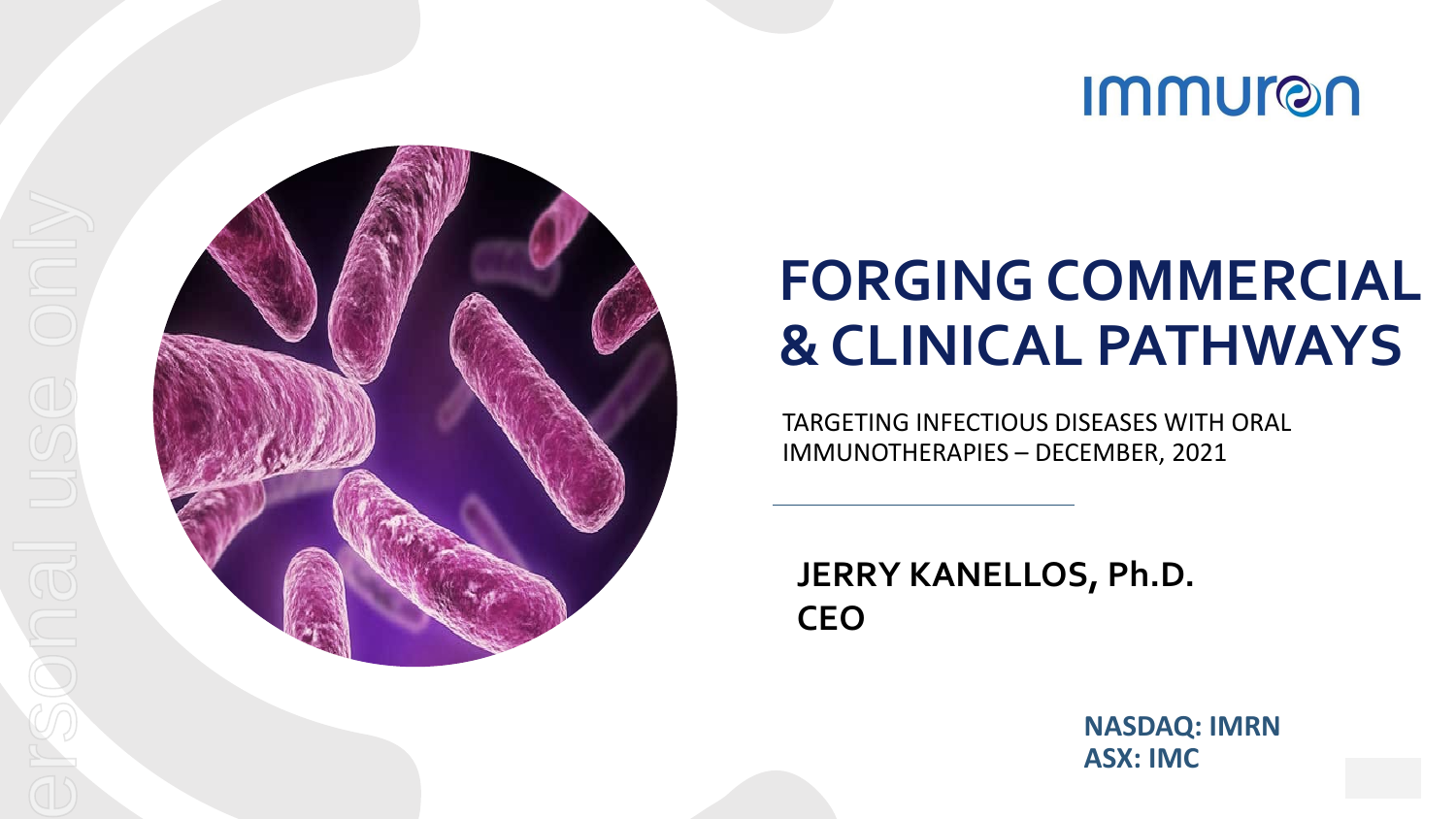



### **FORGING COMMERCIAL & CLINICAL PATHWAYS**

TARGETING INFECTIOUS DISEASES WITH ORAL IMMUNOTHERAPIES – DECEMBER, 2021

**JERRY KANELLOS, Ph.D. CEO**

> **NASDAQ: IMRN ASX: IMC**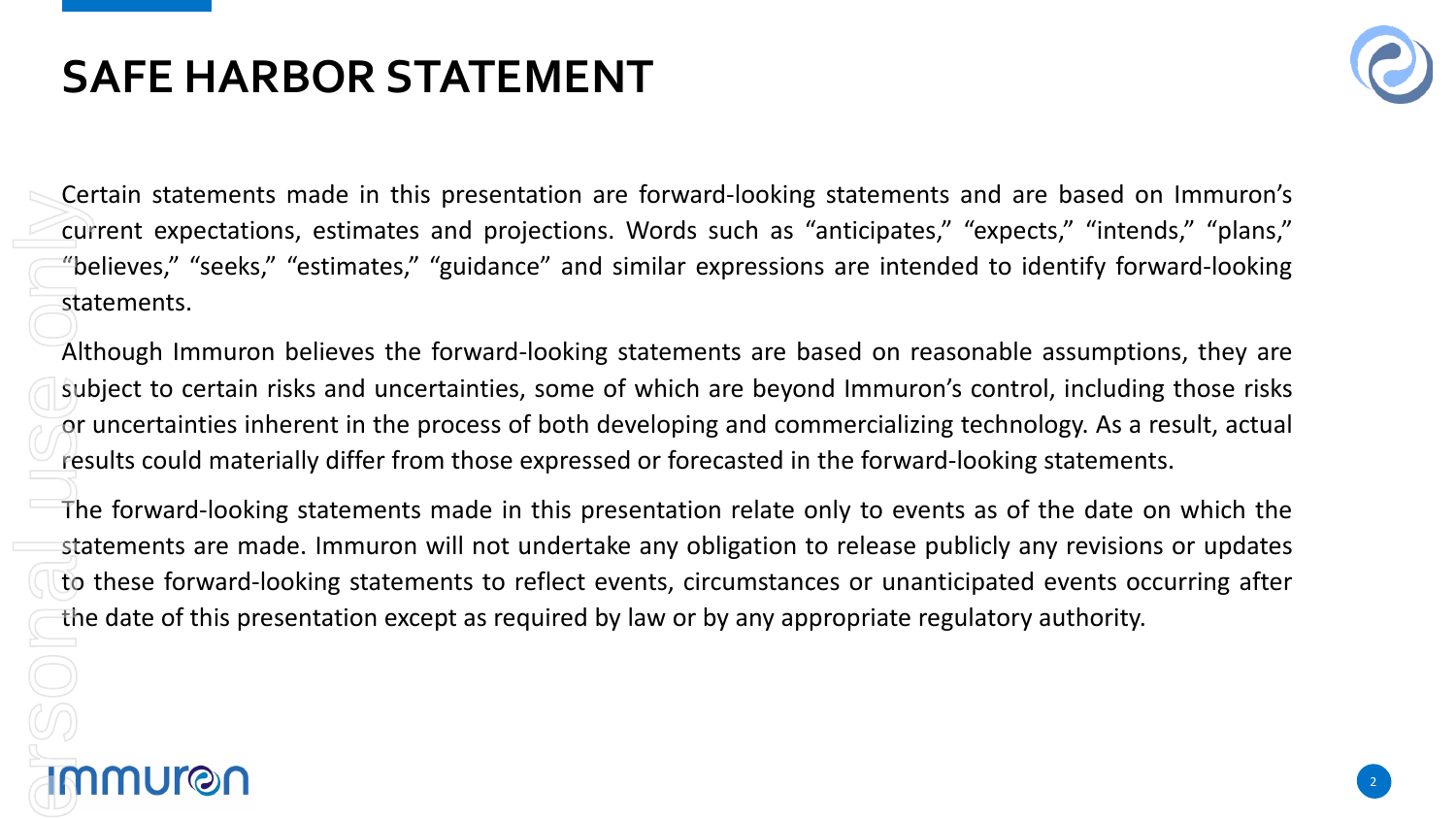### **SAFE HARBOR STATEMENT**



22

Certain statements made in this presentation are forward-looking statements and are based on Immuron's current expectations, estimates and projections. Words such as "anticipates," "expects," "intends," "plans," "believes," "seeks," "estimates," "guidance" and similar expressions are intended to identify forward-looking statements. For the current of the start of the start of the start of the start of the start of the start of the start of the start of the start of the start of the start of the start of the start of the start of the start of the star

Although Immuron believes the forward-looking statements are based on reasonable assumptions, they are subject to certain risks and uncertainties, some of which are beyond Immuron's control, including those risks or uncertainties inherent in the process of both developing and commercializing technology. As a result, actual results could materially differ from those expressed or forecasted in the forward-looking statements.

The forward-looking statements made in this presentation relate only to events as of the date on which the statements are made. Immuron will not undertake any obligation to release publicly any revisions or updates to these forward-looking statements to reflect events, circumstances or unanticipated events occurring after the date of this presentation except as required by law or by any appropriate regulatory authority.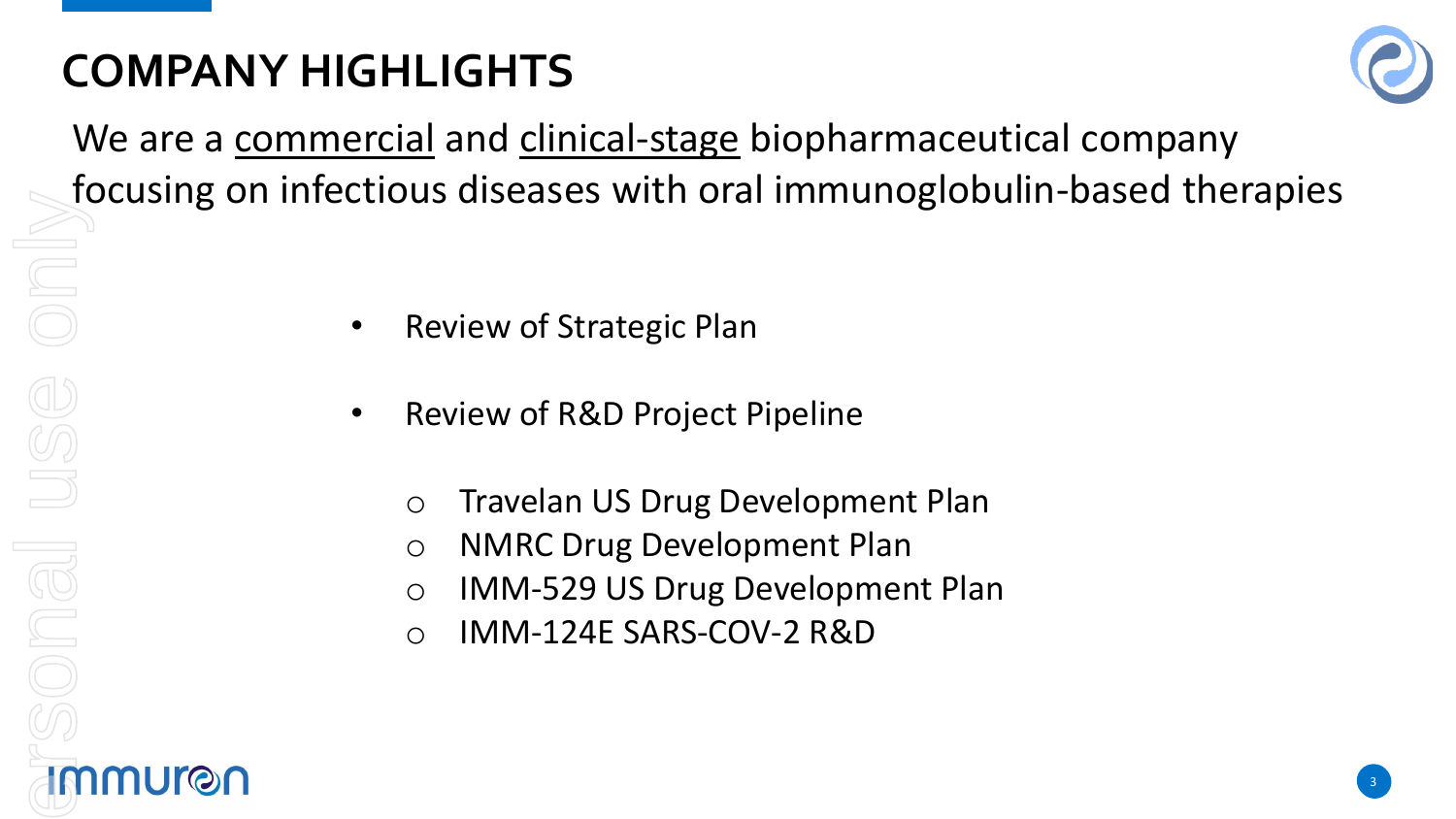### **COMPANY HIGHLIGHTS**



We are a commercial and clinical-stage biopharmaceutical company focusing on infectious diseases with oral immunoglobulin-based therapies

- Review of Strategic Plan
- Review of R&D Project Pipeline
	- o Travelan US Drug Development Plan
	- o NMRC Drug Development Plan
	- o IMM-529 US Drug Development Plan
	- o IMM-124E SARS-COV-2 R&D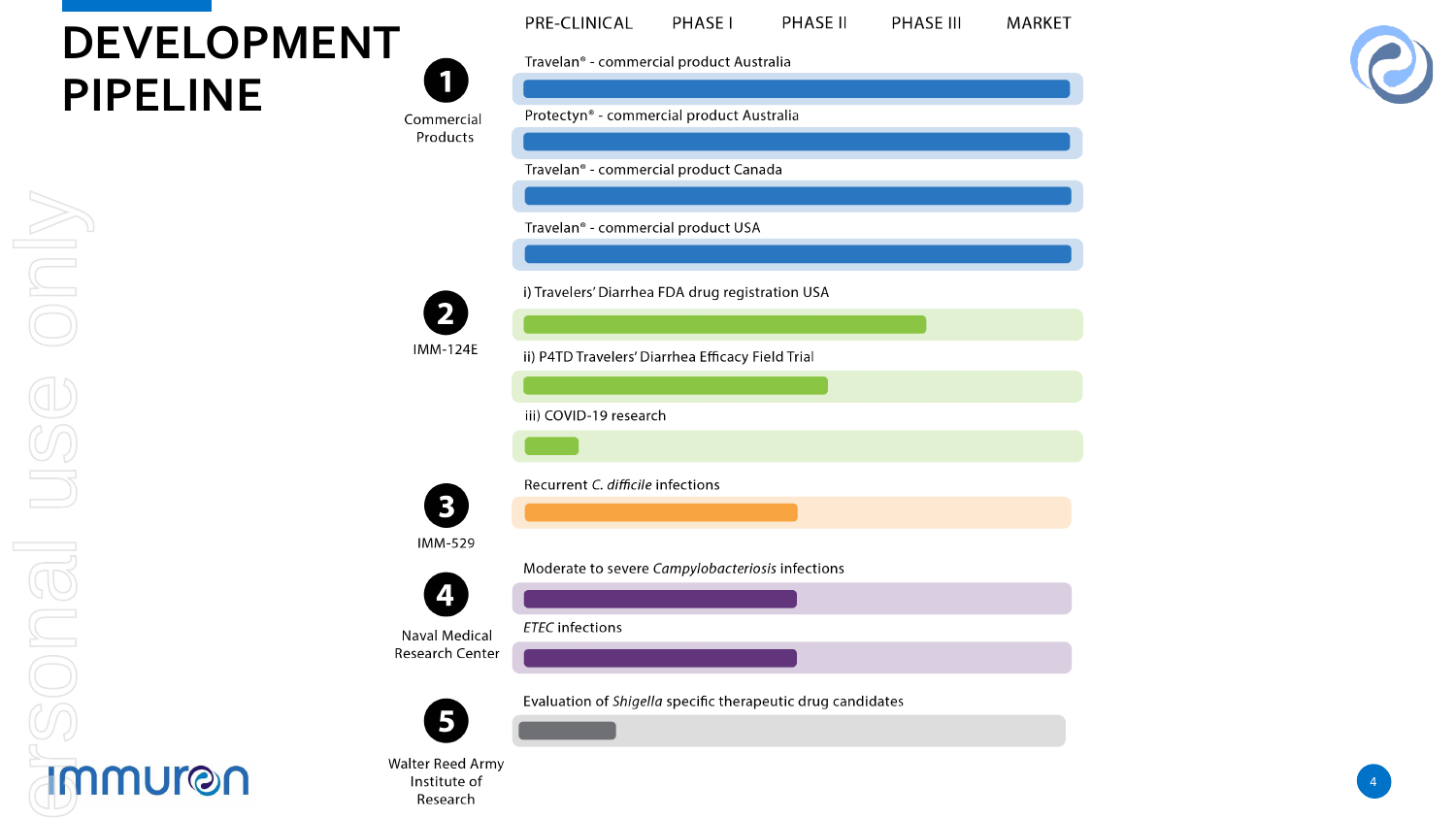### **DEVELOPMENT PIPELINE**  $\zeta$

Institute of Research

| Travelan <sup>®</sup> - commercial product Australia<br>Protectyn® - commercial product Australia<br>Commercial<br>Products<br>Travelan <sup>®</sup> - commercial product Canada<br>Travelan <sup>®</sup> - commercial product USA<br>i) Travelers' Diarrhea FDA drug registration USA<br><b>IMM-124E</b><br>ii) P4TD Travelers' Diarrhea Efficacy Field Trial<br>iii) COVID-19 research<br>Recurrent C. difficile infections<br><b>IMM-529</b><br>Moderate to severe Campylobacteriosis infections<br><b>ETEC</b> infections<br>Naval Medical<br>Research Center<br>Evaluation of Shigella specific therapeutic drug candidates |                         | PRE-CLINICAL | PHASE I | PHASE II | <b>PHASE III</b> | MARKET |
|----------------------------------------------------------------------------------------------------------------------------------------------------------------------------------------------------------------------------------------------------------------------------------------------------------------------------------------------------------------------------------------------------------------------------------------------------------------------------------------------------------------------------------------------------------------------------------------------------------------------------------|-------------------------|--------------|---------|----------|------------------|--------|
|                                                                                                                                                                                                                                                                                                                                                                                                                                                                                                                                                                                                                                  |                         |              |         |          |                  |        |
|                                                                                                                                                                                                                                                                                                                                                                                                                                                                                                                                                                                                                                  |                         |              |         |          |                  |        |
|                                                                                                                                                                                                                                                                                                                                                                                                                                                                                                                                                                                                                                  |                         |              |         |          |                  |        |
|                                                                                                                                                                                                                                                                                                                                                                                                                                                                                                                                                                                                                                  |                         |              |         |          |                  |        |
|                                                                                                                                                                                                                                                                                                                                                                                                                                                                                                                                                                                                                                  |                         |              |         |          |                  |        |
|                                                                                                                                                                                                                                                                                                                                                                                                                                                                                                                                                                                                                                  |                         |              |         |          |                  |        |
|                                                                                                                                                                                                                                                                                                                                                                                                                                                                                                                                                                                                                                  |                         |              |         |          |                  |        |
|                                                                                                                                                                                                                                                                                                                                                                                                                                                                                                                                                                                                                                  |                         |              |         |          |                  |        |
|                                                                                                                                                                                                                                                                                                                                                                                                                                                                                                                                                                                                                                  |                         |              |         |          |                  |        |
|                                                                                                                                                                                                                                                                                                                                                                                                                                                                                                                                                                                                                                  |                         |              |         |          |                  |        |
|                                                                                                                                                                                                                                                                                                                                                                                                                                                                                                                                                                                                                                  |                         |              |         |          |                  |        |
|                                                                                                                                                                                                                                                                                                                                                                                                                                                                                                                                                                                                                                  |                         |              |         |          |                  |        |
|                                                                                                                                                                                                                                                                                                                                                                                                                                                                                                                                                                                                                                  |                         |              |         |          |                  |        |
|                                                                                                                                                                                                                                                                                                                                                                                                                                                                                                                                                                                                                                  |                         |              |         |          |                  |        |
|                                                                                                                                                                                                                                                                                                                                                                                                                                                                                                                                                                                                                                  |                         |              |         |          |                  |        |
|                                                                                                                                                                                                                                                                                                                                                                                                                                                                                                                                                                                                                                  |                         |              |         |          |                  |        |
|                                                                                                                                                                                                                                                                                                                                                                                                                                                                                                                                                                                                                                  |                         |              |         |          |                  |        |
|                                                                                                                                                                                                                                                                                                                                                                                                                                                                                                                                                                                                                                  |                         |              |         |          |                  |        |
|                                                                                                                                                                                                                                                                                                                                                                                                                                                                                                                                                                                                                                  |                         |              |         |          |                  |        |
|                                                                                                                                                                                                                                                                                                                                                                                                                                                                                                                                                                                                                                  |                         |              |         |          |                  |        |
|                                                                                                                                                                                                                                                                                                                                                                                                                                                                                                                                                                                                                                  |                         |              |         |          |                  |        |
|                                                                                                                                                                                                                                                                                                                                                                                                                                                                                                                                                                                                                                  |                         |              |         |          |                  |        |
|                                                                                                                                                                                                                                                                                                                                                                                                                                                                                                                                                                                                                                  |                         |              |         |          |                  |        |
|                                                                                                                                                                                                                                                                                                                                                                                                                                                                                                                                                                                                                                  |                         |              |         |          |                  |        |
|                                                                                                                                                                                                                                                                                                                                                                                                                                                                                                                                                                                                                                  | <b>Walter Reed Army</b> |              |         |          |                  |        |



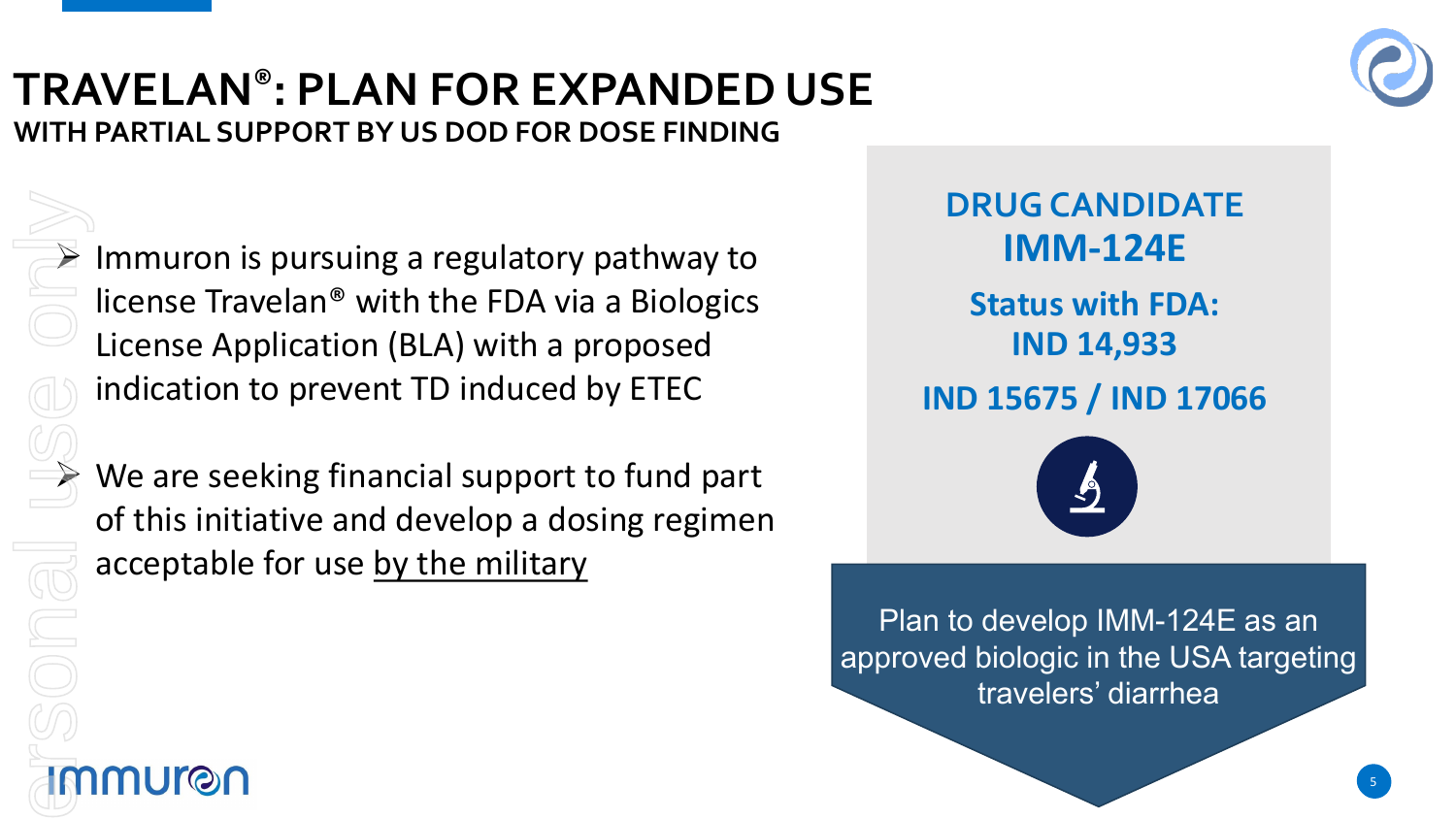### **TRAVELAN®: PLAN FOR EXPANDED USE WITH PARTIAL SUPPORT BY US DOD FOR DOSE FINDING**



For personal use only

 $\triangleright$  Immuron is pursuing a regulatory pathway to license Travelan® with the FDA via a Biologics License Application (BLA) with a proposed indication to prevent TD induced by ETEC

 We are seeking financial support to fund part of this initiative and develop a dosing regimen acceptable for use by the military

**Status with FDA: IND 14,933 IND 15675 / IND 17066 DRUG CANDIDATE IMM-124E**



Plan to develop IMM-124E as an approved biologic in the USA targeting travelers' diarrhea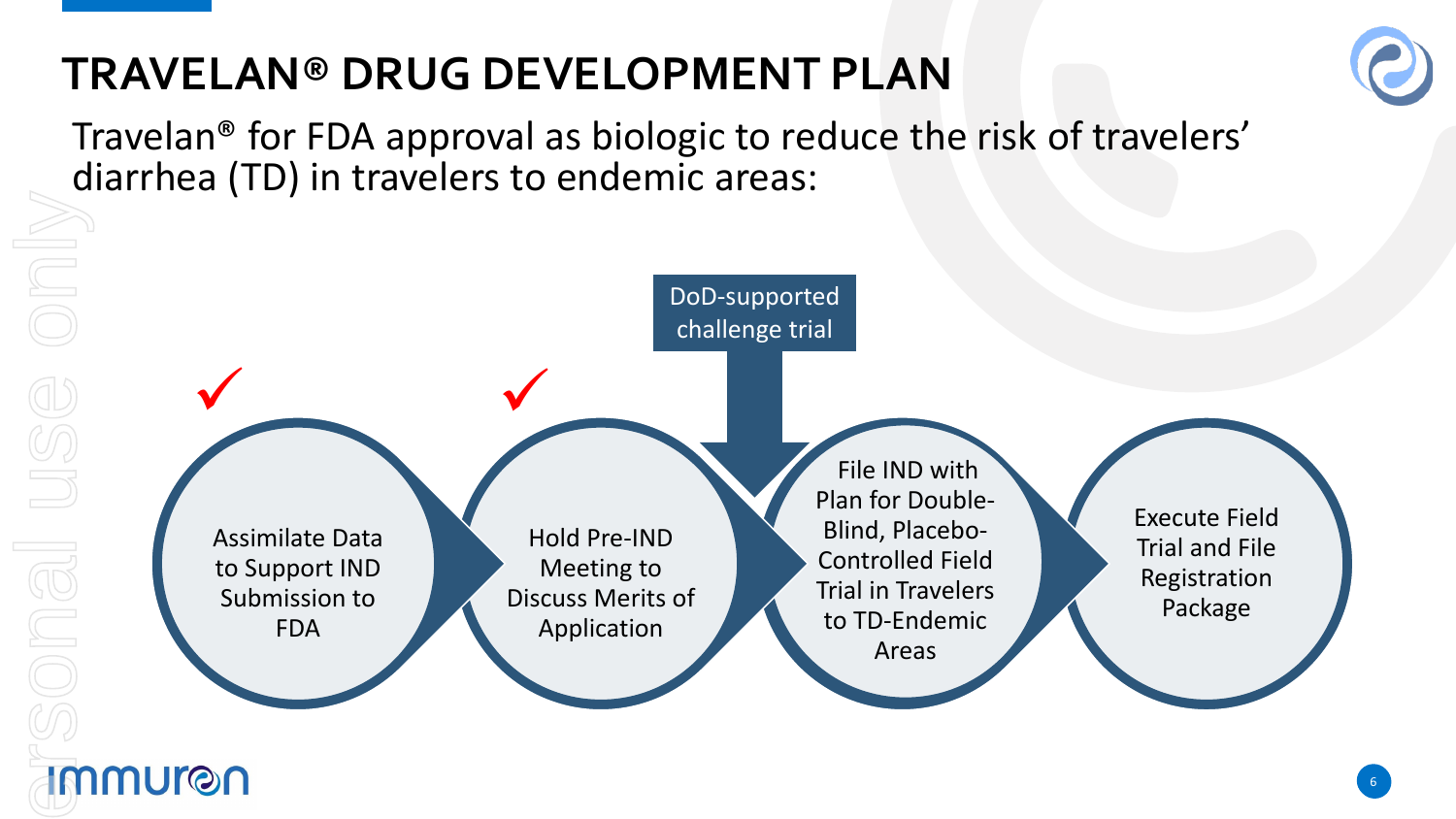### **TRAVELAN® DRUG DEVELOPMENT PLAN**



Travelan® for FDA approval as biologic to reduce the risk of travelers' diarrhea (TD) in travelers to endemic areas:

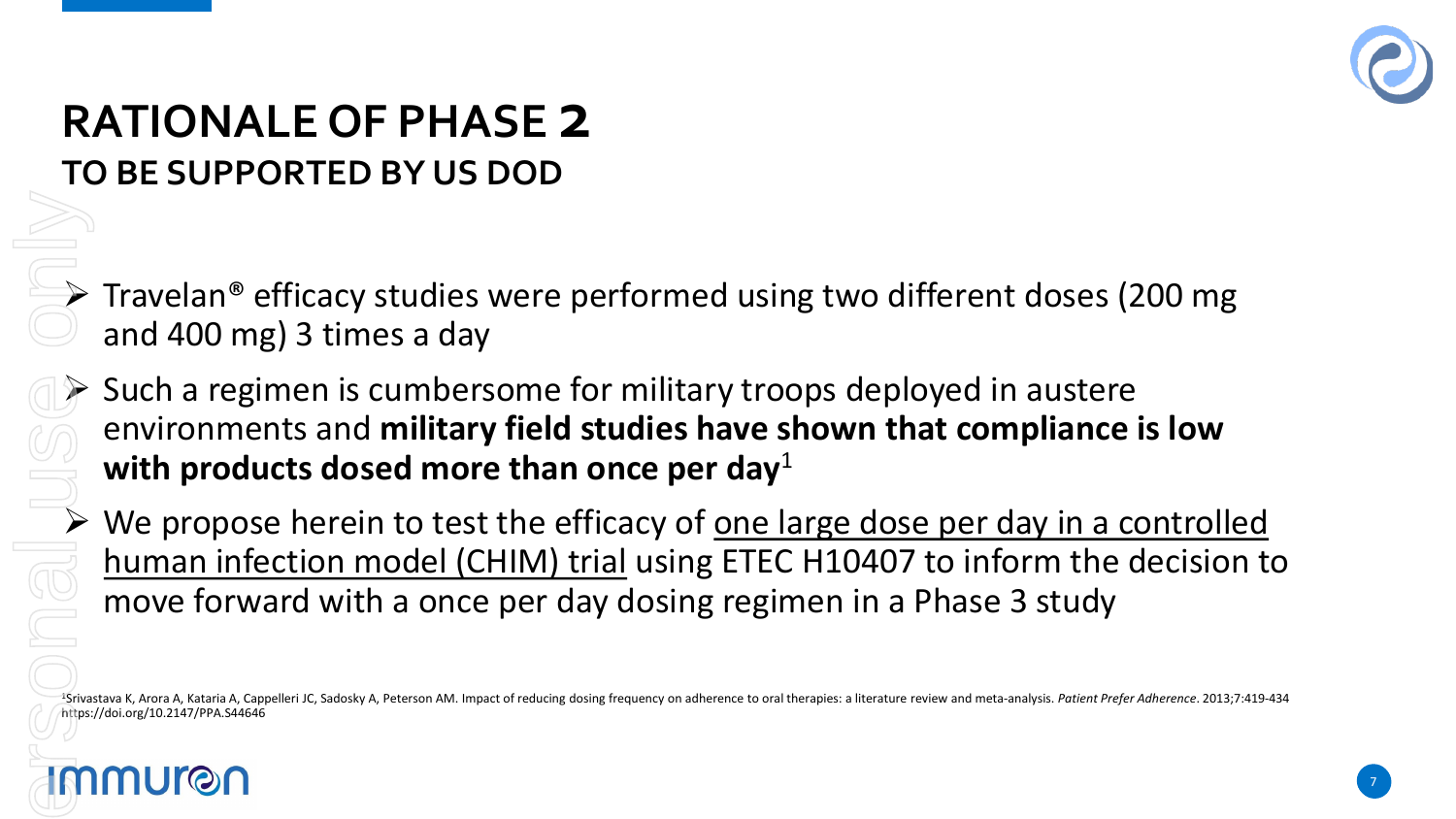

## **RATIONALE OF PHASE 2**

 $\triangleright$  Travelan® efficacy studies were performed using two different doses (200 mg) and 400 mg) 3 times a day

 $\triangleright$  Such a regimen is cumbersome for military troops deployed in austere environments and **military field studies have shown that compliance is low with products dosed more than once per day**<sup>1</sup> TO BE SUPPORTED BY US DOD<br>
Fravelan® efficacy studies were<br>
and 400 mg) 3 times a day<br>
Such a regimen is cumbersome<br>
environments and **military field**<br>
with products dosed more than<br>
We propose herein to test the environme

 $\triangleright$  We propose herein to test the efficacy of <u>one large dose per day in a controlled</u><br>human infection model (CHIM) trial using ETEC H10407 to inform the decision t human infection model (CHIM) trial using ETEC H10407 to inform the decision to move forward with a once per day dosing regimen in a Phase 3 study

<sup>1</sup>Srivastava K, Arora A, Kataria A, Cappelleri JC, Sadosky A, Peterson AM. Impact of reducing dosing frequency on adherence to oral therapies: a literature review and meta-analysis. Patient Prefer Adherence. 2013;7:419-43 https://doi.org/10.2147/PPA.S44646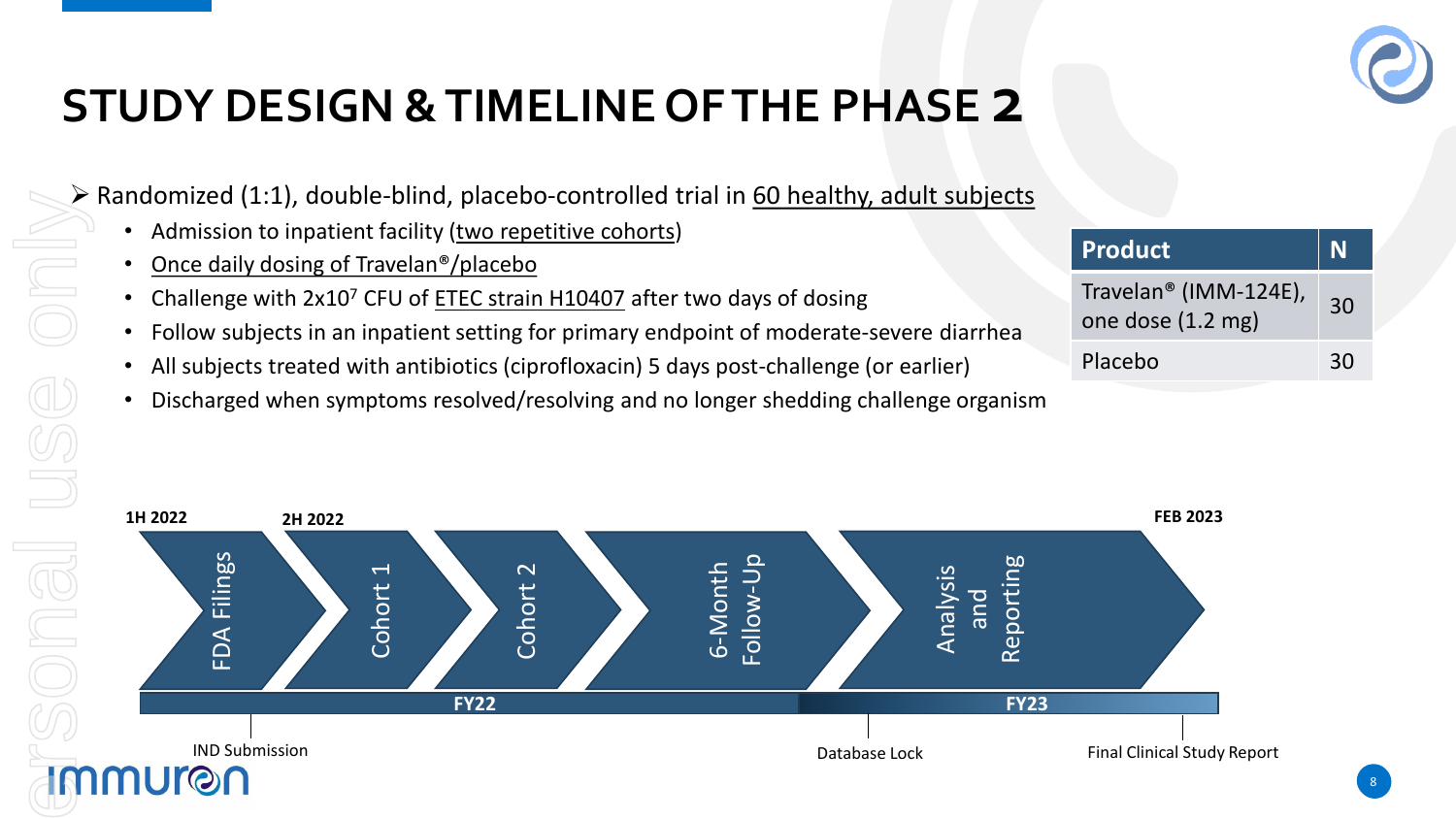

### **STUDY DESIGN & TIMELINE OF THE PHASE 2**

 $\triangleright$  Randomized (1:1), double-blind, placebo-controlled trial in 60 healthy, adult subjects

- Admission to inpatient facility (two repetitive cohorts)
- Once daily dosing of Travelan<sup>®</sup>/placebo
- Challenge with 2x10<sup>7</sup> CFU of **ETEC strain H10407** after two days of dosing
- Follow subjects in an inpatient setting for primary endpoint of moderate-severe diarrhea
- All subjects treated with antibiotics (ciprofloxacin) 5 days post-challenge (or earlier)
- Discharged when symptoms resolved/resolving and no longer shedding challenge organism

| <b>Product</b>                                         |    |
|--------------------------------------------------------|----|
| Travelan <sup>®</sup> (IMM-124E),<br>one dose (1.2 mg) | 30 |
| Placebo                                                | 30 |

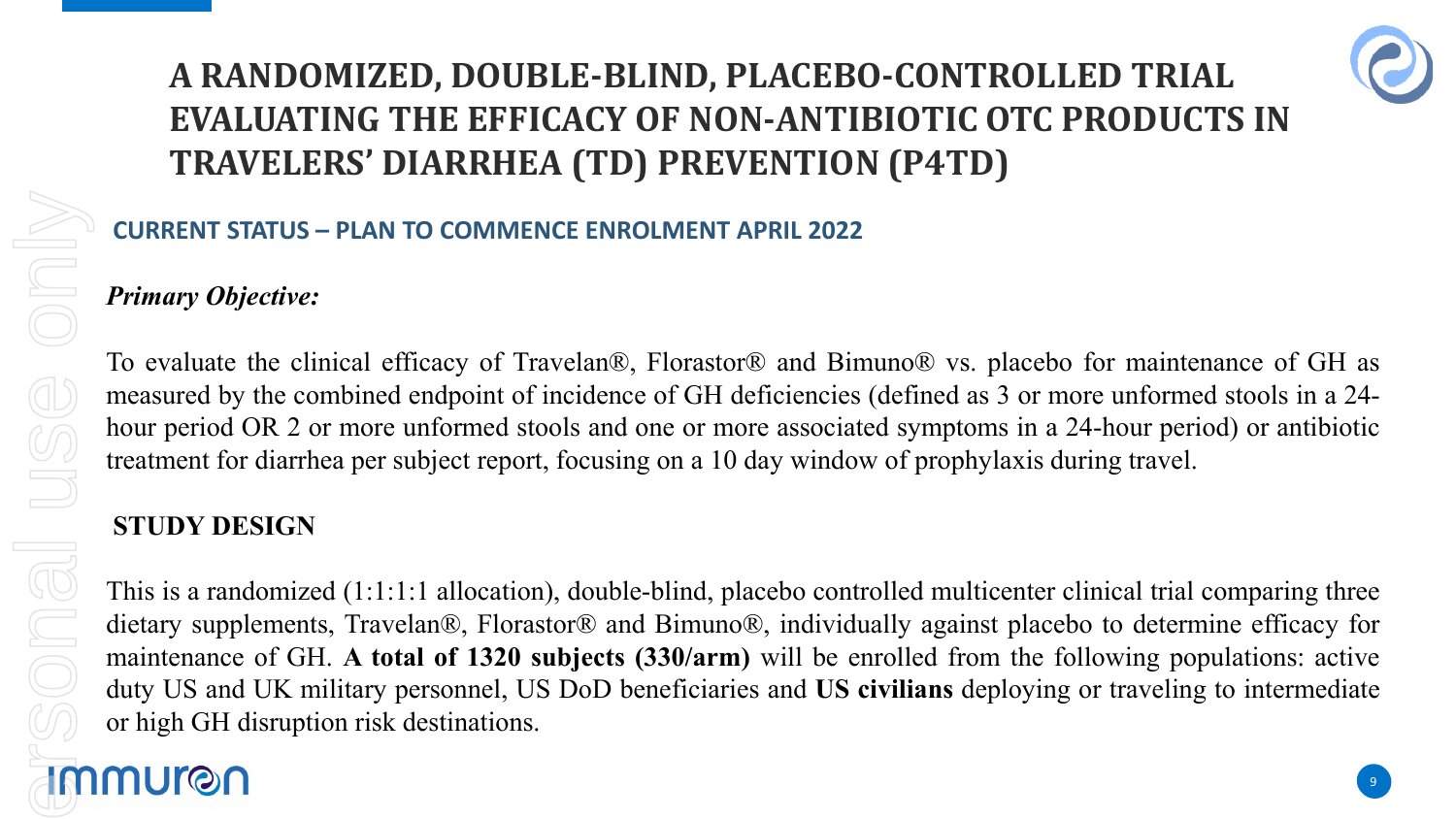### **A RANDOMIZED, DOUBLE-BLIND, PLACEBO-CONTROLLED TRIAL EVALUATING THE EFFICACY OF NON-ANTIBIOTIC OTC PRODUCTS IN TRAVELERS' DIARRHEA (TD) PREVENTION (P4TD)**



### **CURRENT STATUS – PLAN TO COMMENCE ENROLMENT APRIL 2022**

### *Primary Objective:*

To evaluate the clinical efficacy of Travelan®, Florastor® and Bimuno® vs. placebo for maintenance of GH as measured by the combined endpoint of incidence of GH deficiencies (defined as 3 or more unformed stools in a 24 hour period OR 2 or more unformed stools and one or more associated symptoms in a 24-hour period) or antibiotic treatment for diarrhea per subject report, focusing on a 10 day window of prophylaxis during travel.

### **STUDY DESIGN**

This is a randomized (1:1:1:1 allocation), double-blind, placebo controlled multicenter clinical trial comparing three dietary supplements, Travelan®, Florastor® and Bimuno®, individually against placebo to determine efficacy for maintenance of GH. **A total of 1320 subjects (330/arm)** will be enrolled from the following populations: active duty US and UK military personnel, US DoD beneficiaries and **US civilians** deploying or traveling to intermediate or high GH disruption risk destinations.

# For personal use only**IMMUran**

nal use onl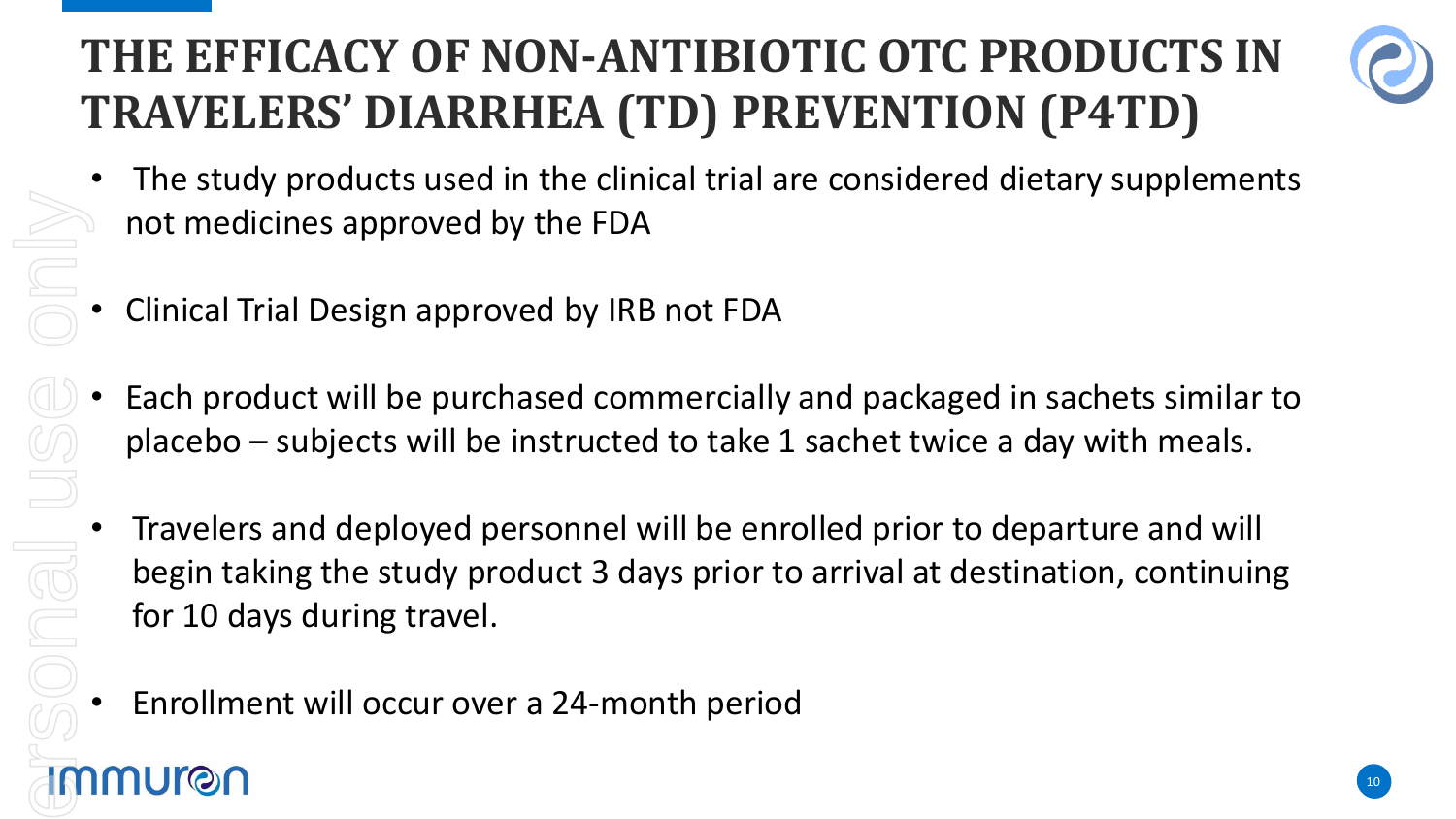### **THE EFFICACY OF NON-ANTIBIOTIC OTC PRODUCTS IN TRAVELERS' DIARRHEA (TD) PREVENTION (P4TD)**



- The study products used in the clinical trial are considered dietary supplements not medicines approved by the FDA
- Clinical Trial Design approved by IRB not FDA
- Each product will be purchased commercially and packaged in sachets similar to placebo – subjects will be instructed to take 1 sachet twice a day with meals.
- Travelers and deployed personnel will be enrolled prior to departure and will begin taking the study product 3 days prior to arrival at destination, continuing for 10 days during travel. • Clinical Trial Design approved by the FDA<br>• Clinical Trial Design approved by IRB not FDA<br>• Each product will be purchased commercially<br>• placebo – subjects will be instructed to take 1<br>• Travelers and deployed personnel
	-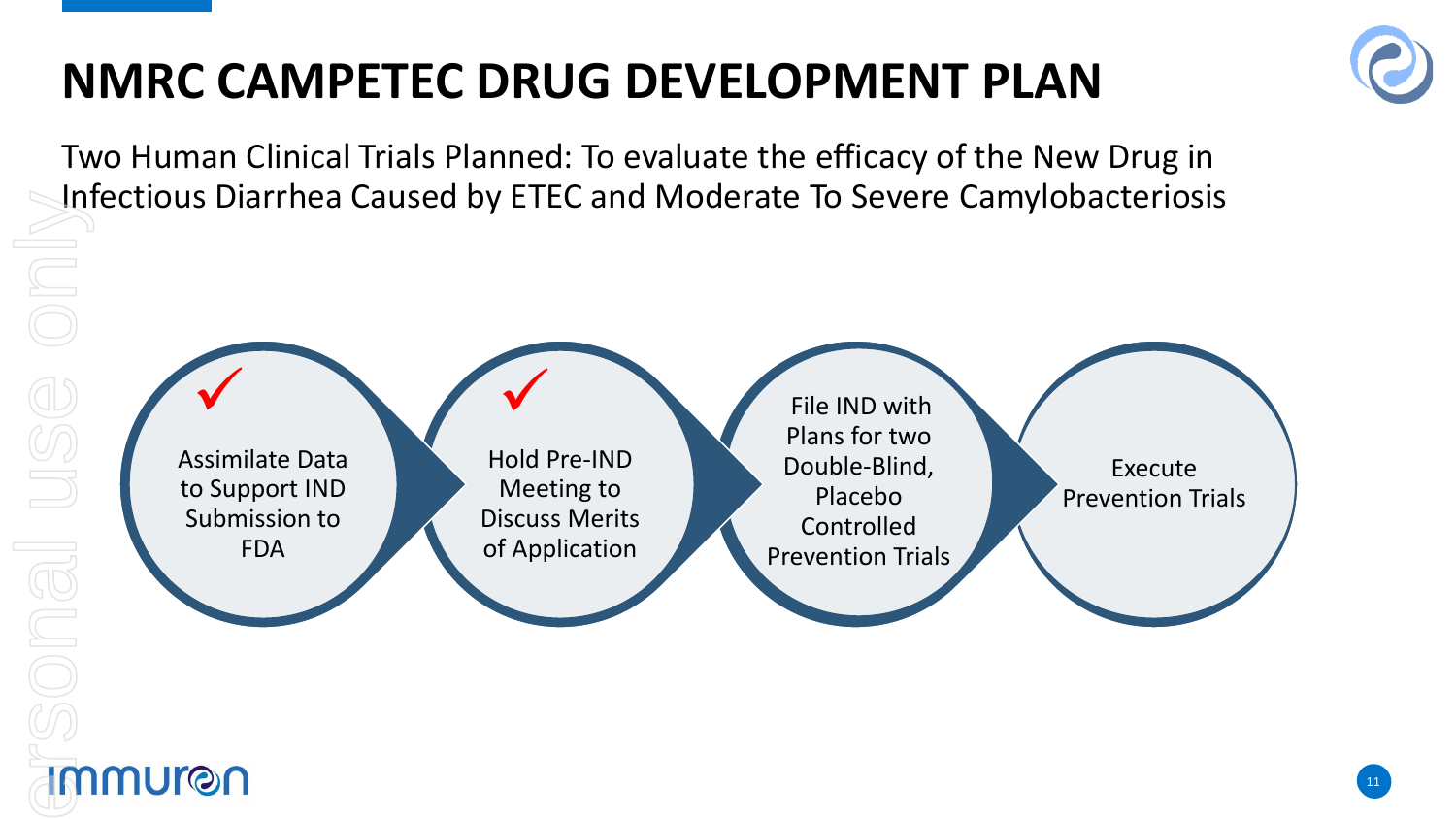### **NMRC CAMPETEC DRUG DEVELOPMENT PLAN**

Two Human Clinical Trials Planned: To evaluate the efficacy of the New Drug in Infectious Diarrhea Caused by ETEC and Moderate To Severe Camylobacteriosis

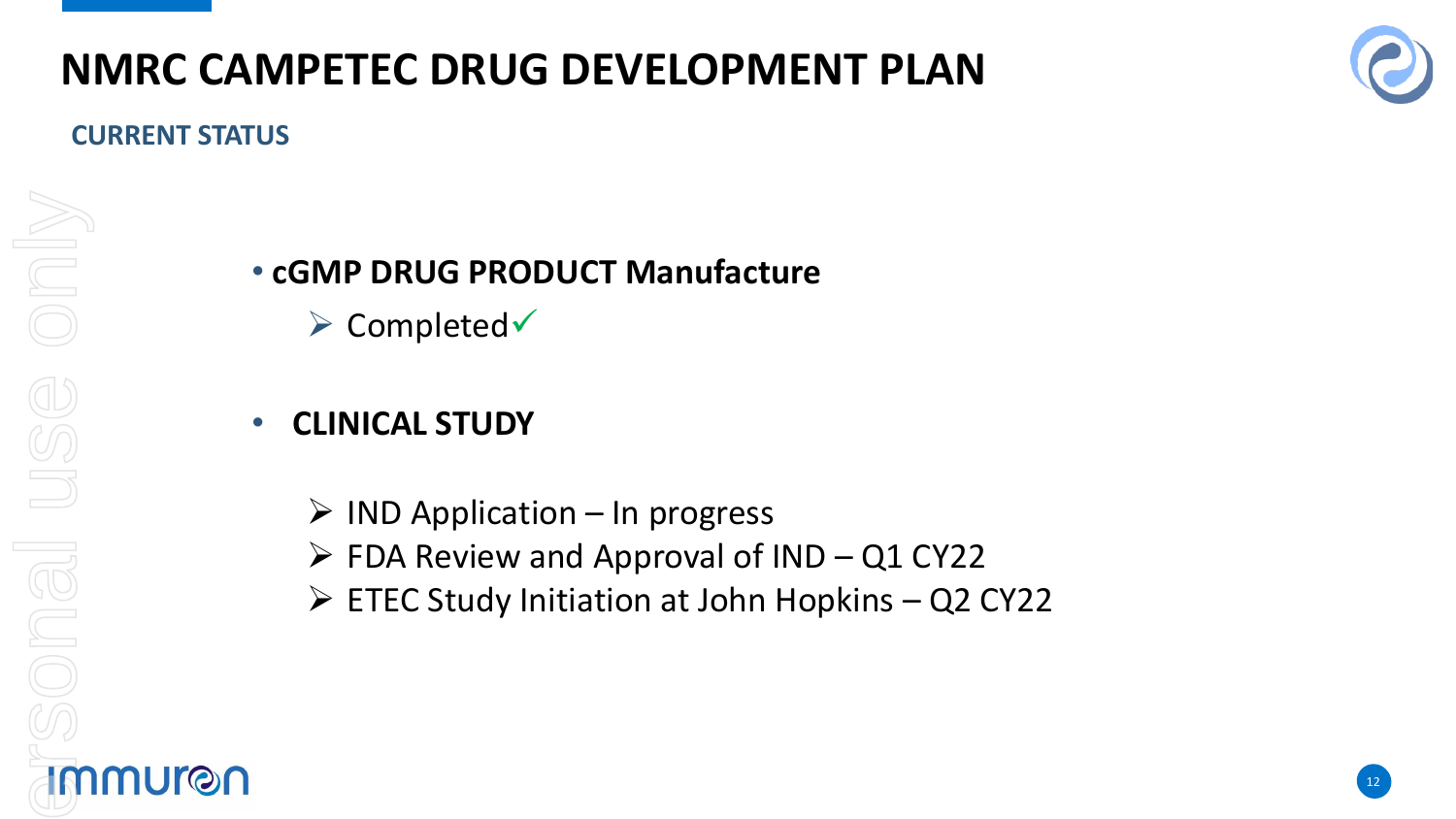### **NMRC CAMPETEC DRUG DEVELOPMENT PLAN**



### **CURRENT STATUS**

# For personal use onlyonly USC JONGI <u>IMMUron</u>

### • **cGMP DRUG PRODUCT Manufacture**

 $\triangleright$  Completed $\triangleright$ 

### • **CLINICAL STUDY**

- $\triangleright$  IND Application In progress
- $\triangleright$  FDA Review and Approval of IND Q1 CY22
- ETEC Study Initiation at John Hopkins Q2 CY22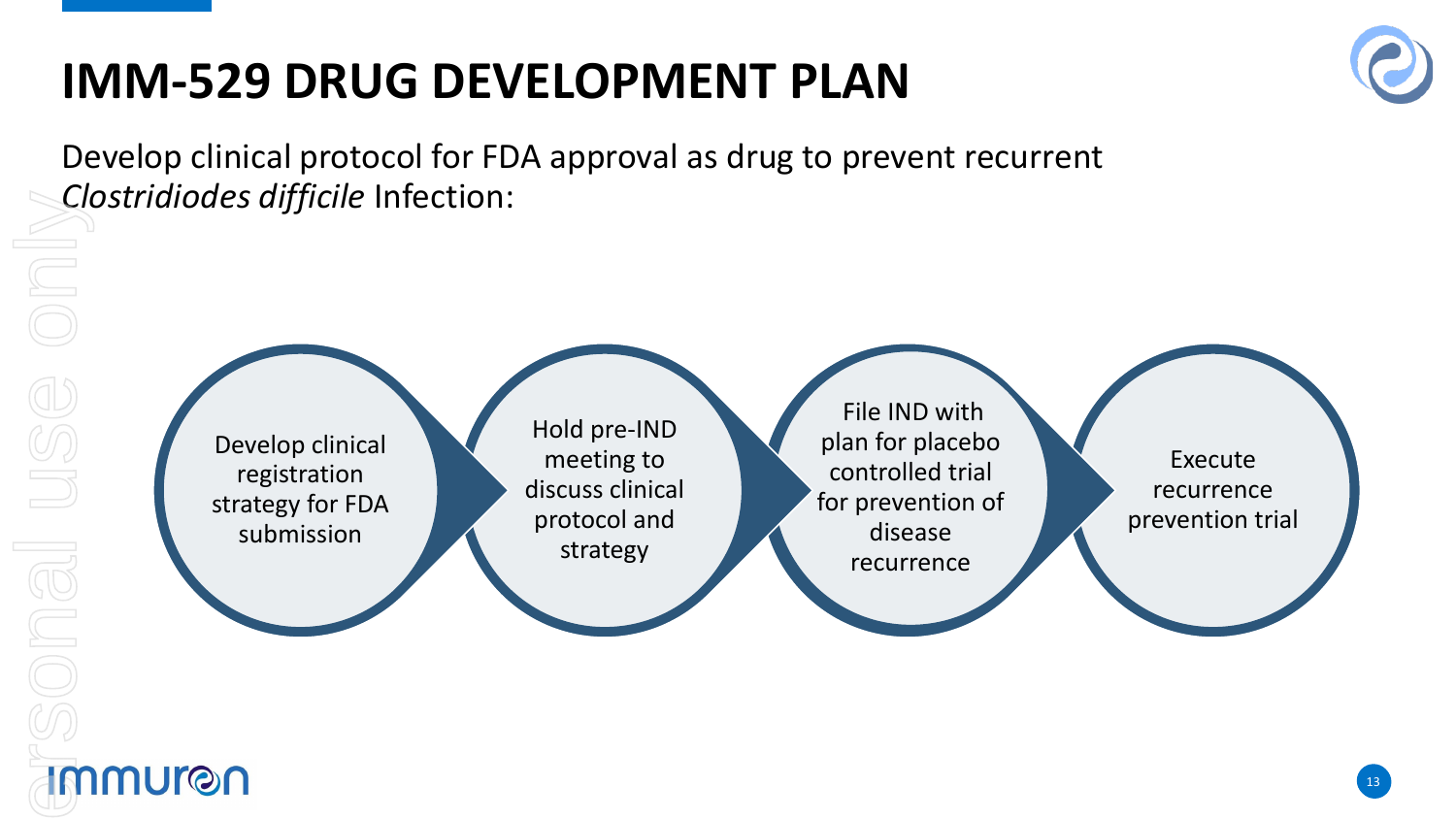### **IMM-529 DRUG DEVELOPMENT PLAN**



Develop clinical protocol for FDA approval as drug to prevent recurrent *Clostridiodes difficile* Infection:

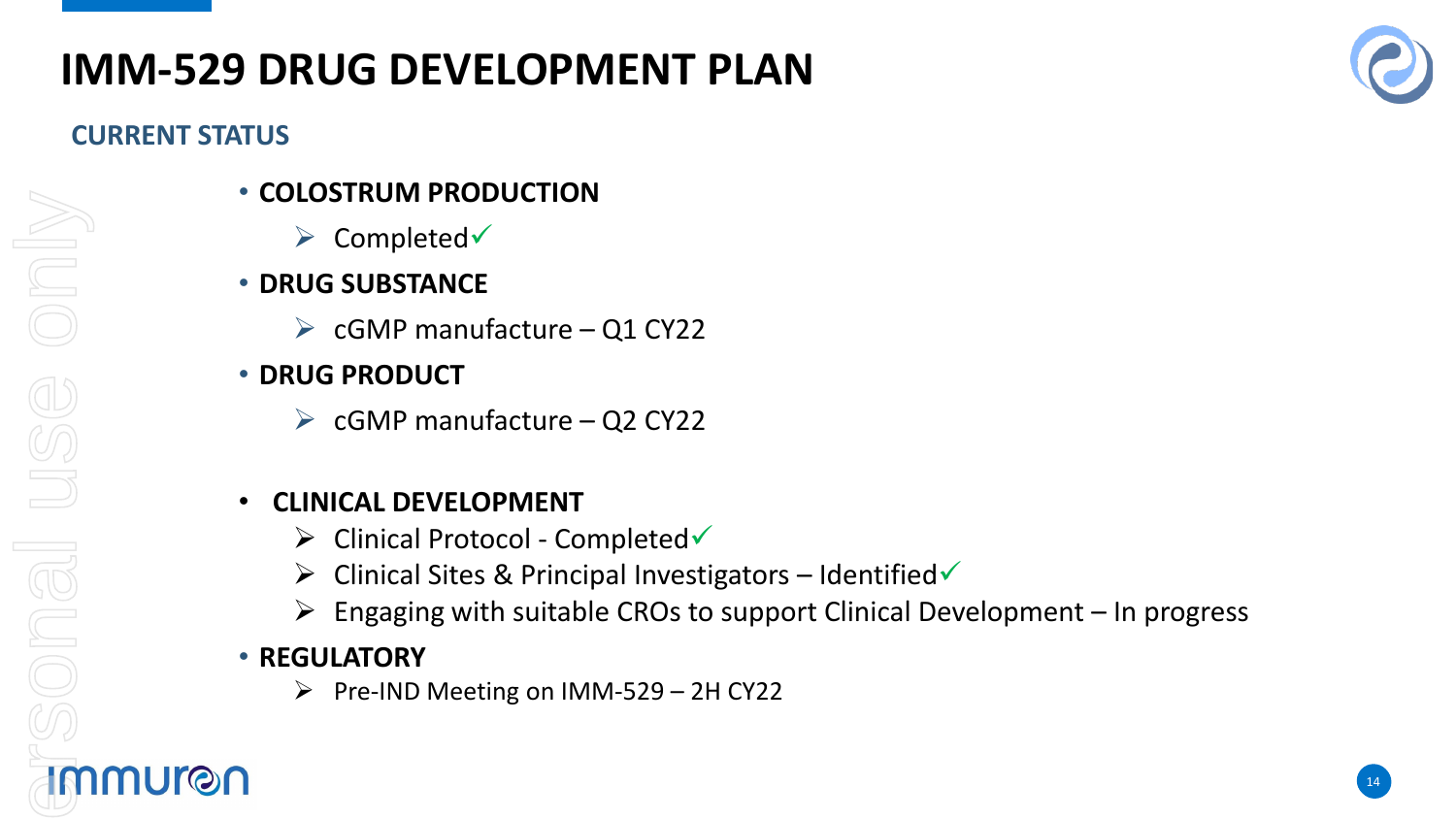### **IMM-529 DRUG DEVELOPMENT PLAN**

### **CURRENT STATUS**

- **COLOSTRUM PRODUCTION**
	- $\triangleright$  Completed $\triangleright$
- **DRUG SUBSTANCE**
	- $\triangleright$  cGMP manufacture Q1 CY22
- **DRUG PRODUCT**
	- $\triangleright$  cGMP manufacture Q2 CY22

### • **CLINICAL DEVELOPMENT**

- $\triangleright$  Clinical Protocol Completed
- $\triangleright$  Clinical Sites & Principal Investigators Identified
- $\triangleright$  Engaging with suitable CROs to support Clinical Development In progress

### • **REGULATORY**

 $\triangleright$  Pre-IND Meeting on IMM-529 – 2H CY22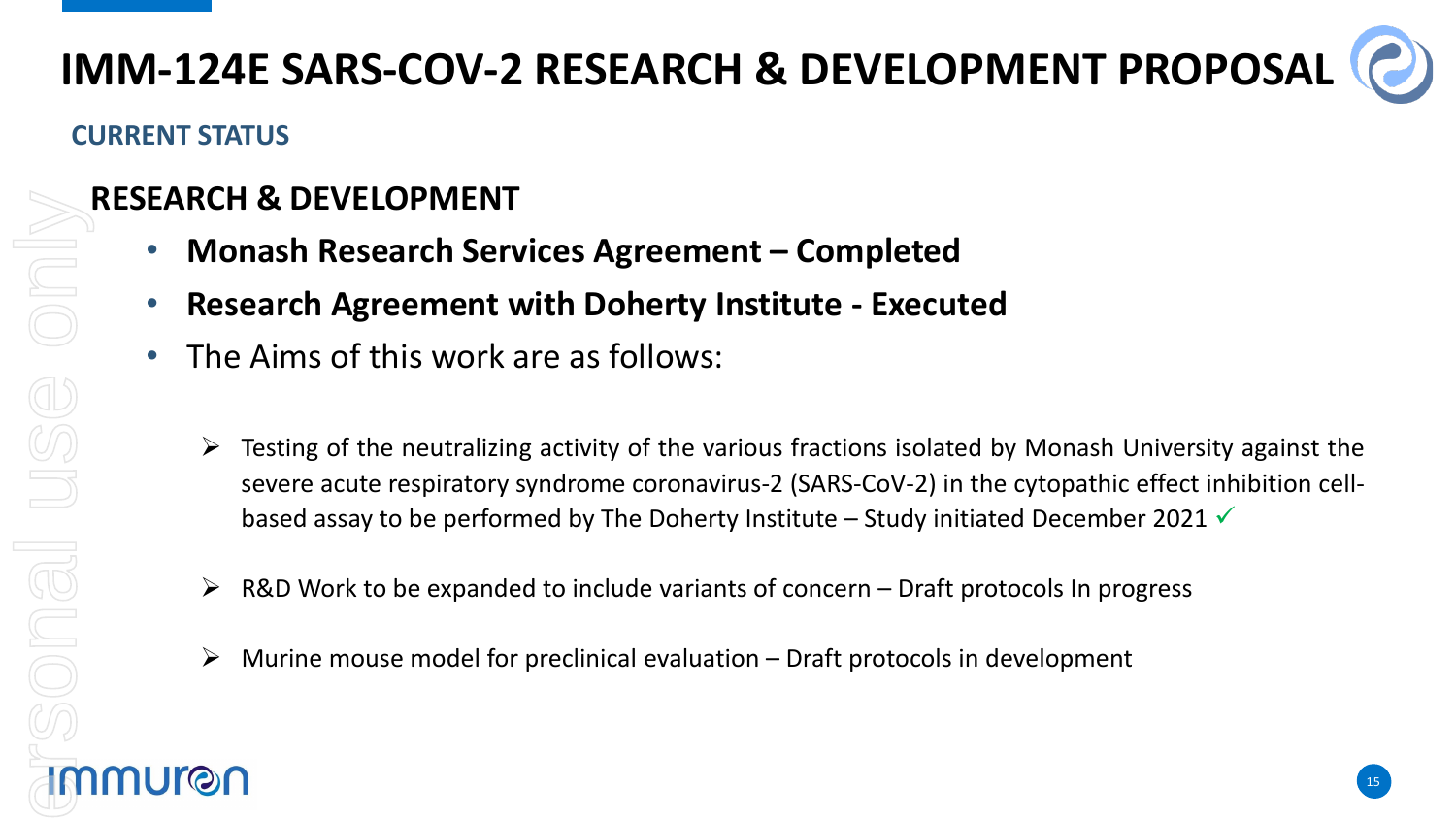### **IMM-124E SARS-COV-2 RESEARCH & DEVELOPMENT PROPOSAL**

### **CURRENT STATUS**

### **RESEARCH & DEVELOPMENT**

- **Monash Research Services Agreement – Completed**
- **Research Agreement with Doherty Institute - Executed**
- The Aims of this work are as follows:
	- Testing of the neutralizing activity of the various fractions isolated by Monash University against the severe acute respiratory syndrome coronavirus-2 (SARS-CoV-2) in the cytopathic effect inhibition cellbased assay to be performed by The Doherty Institute – Study initiated December 2021  $\checkmark$
	- $\triangleright$  R&D Work to be expanded to include variants of concern Draft protocols In progress
	- $\triangleright$  Murine mouse model for preclinical evaluation Draft protocols in development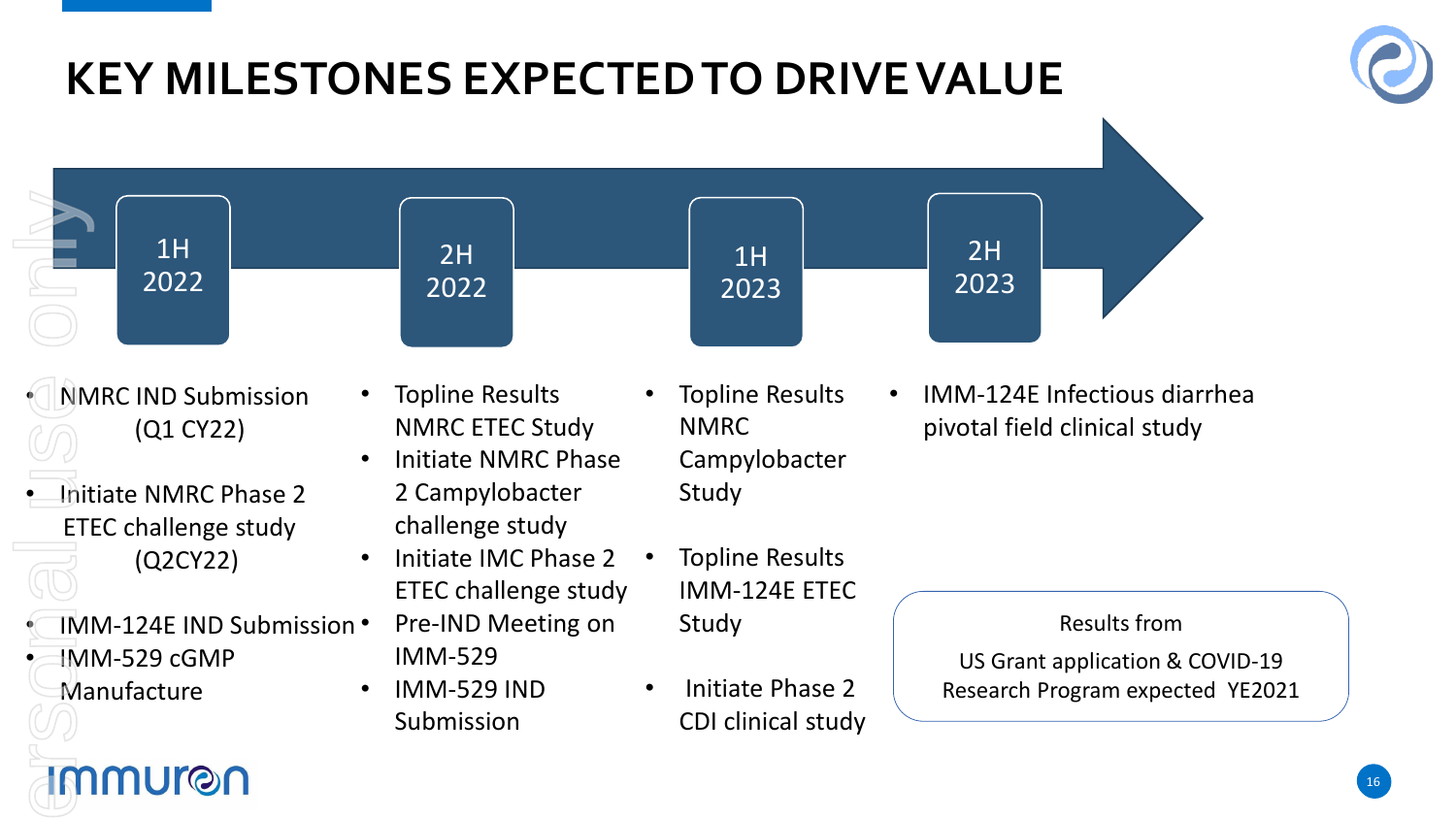### **KEY MILESTONES EXPECTED TO DRIVE VALUE**





- NMRC IND Submission (Q1 CY22)
- Initiate NMRC Phase 2 ETEC challenge study (Q2CY22)

mmuron

• IMM-124E IND Submission • IMM-529 cGMP **Manufacture** 

- Topline Results NMRC ETEC Study • Initiate NMRC Phase 2 Campylobacter
	- challenge study
	- Initiate IMC Phase 2 ETEC challenge study
		- Pre-IND Meeting on IMM-529
	- IMM-529 IND Submission
- Topline Results NMRC Campylobacter Study
- Topline Results IMM-124E ETEC Study
- Initiate Phase 2 CDI clinical study

• IMM-124E Infectious diarrhea pivotal field clinical study

### Results from

US Grant application & COVID-19 Research Program expected YE2021